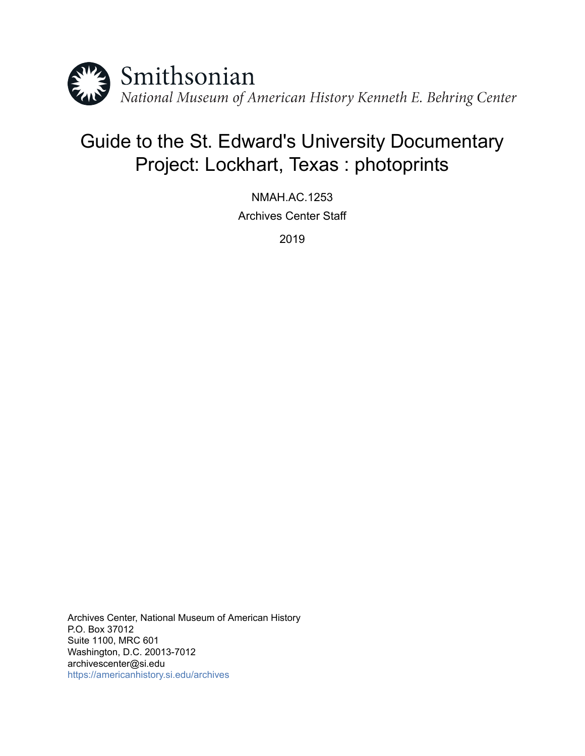

# Guide to the St. Edward's University Documentary Project: Lockhart, Texas : photoprints

NMAH.AC.1253 Archives Center Staff

2019

Archives Center, National Museum of American History P.O. Box 37012 Suite 1100, MRC 601 Washington, D.C. 20013-7012 archivescenter@si.edu <https://americanhistory.si.edu/archives>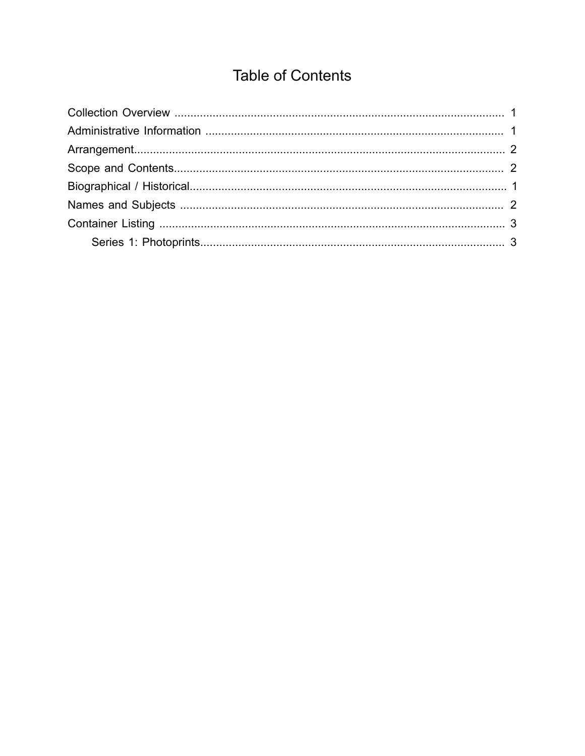# **Table of Contents**

<span id="page-1-0"></span>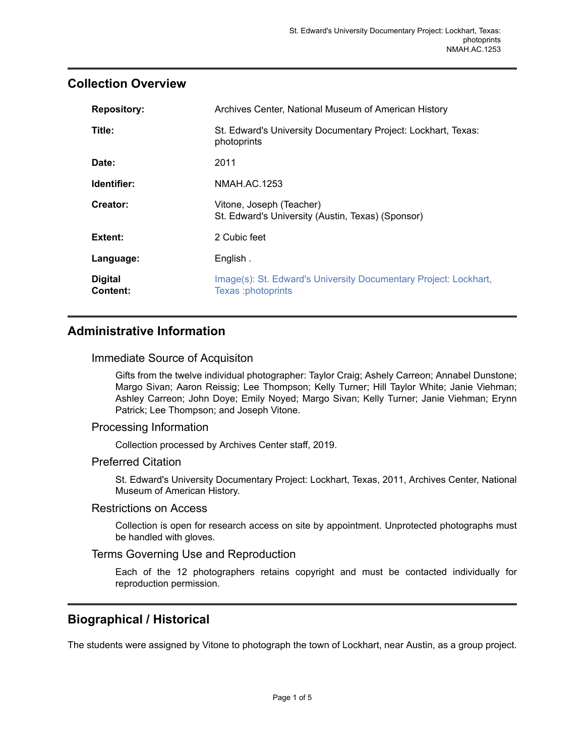## <span id="page-2-0"></span>**Collection Overview**

| <b>Repository:</b>         | Archives Center, National Museum of American History                                   |  |  |
|----------------------------|----------------------------------------------------------------------------------------|--|--|
| Title:                     | St. Edward's University Documentary Project: Lockhart, Texas:<br>photoprints           |  |  |
| Date:                      | 2011                                                                                   |  |  |
| Identifier:                | NMAH.AC.1253                                                                           |  |  |
| Creator:                   | Vitone, Joseph (Teacher)<br>St. Edward's University (Austin, Texas) (Sponsor)          |  |  |
| Extent:                    | 2 Cubic feet                                                                           |  |  |
| Language:                  | English.                                                                               |  |  |
| <b>Digital</b><br>Content: | Image(s): St. Edward's University Documentary Project: Lockhart,<br>Texas :photoprints |  |  |

# <span id="page-2-1"></span>**Administrative Information**

#### Immediate Source of Acquisiton

Gifts from the twelve individual photographer: Taylor Craig; Ashely Carreon; Annabel Dunstone; Margo Sivan; Aaron Reissig; Lee Thompson; Kelly Turner; Hill Taylor White; Janie Viehman; Ashley Carreon; John Doye; Emily Noyed; Margo Sivan; Kelly Turner; Janie Viehman; Erynn Patrick; Lee Thompson; and Joseph Vitone.

#### Processing Information

Collection processed by Archives Center staff, 2019.

#### Preferred Citation

St. Edward's University Documentary Project: Lockhart, Texas, 2011, Archives Center, National Museum of American History.

#### Restrictions on Access

Collection is open for research access on site by appointment. Unprotected photographs must be handled with gloves.

#### Terms Governing Use and Reproduction

Each of the 12 photographers retains copyright and must be contacted individually for reproduction permission.

## <span id="page-2-2"></span>**Biographical / Historical**

The students were assigned by Vitone to photograph the town of Lockhart, near Austin, as a group project.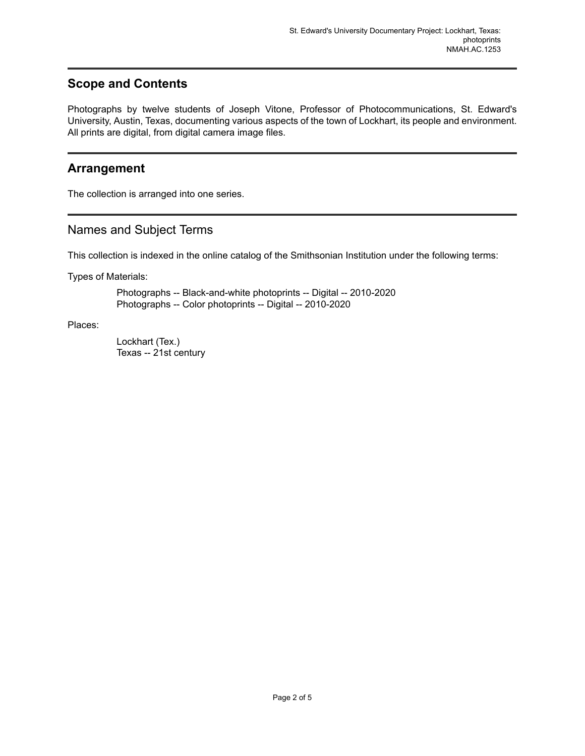# <span id="page-3-1"></span>**Scope and Contents**

Photographs by twelve students of Joseph Vitone, Professor of Photocommunications, St. Edward's University, Austin, Texas, documenting various aspects of the town of Lockhart, its people and environment. All prints are digital, from digital camera image files.

### <span id="page-3-0"></span>**Arrangement**

The collection is arranged into one series.

### <span id="page-3-2"></span>Names and Subject Terms

This collection is indexed in the online catalog of the Smithsonian Institution under the following terms:

Types of Materials:

Photographs -- Black-and-white photoprints -- Digital -- 2010-2020 Photographs -- Color photoprints -- Digital -- 2010-2020

Places:

Lockhart (Tex.) Texas -- 21st century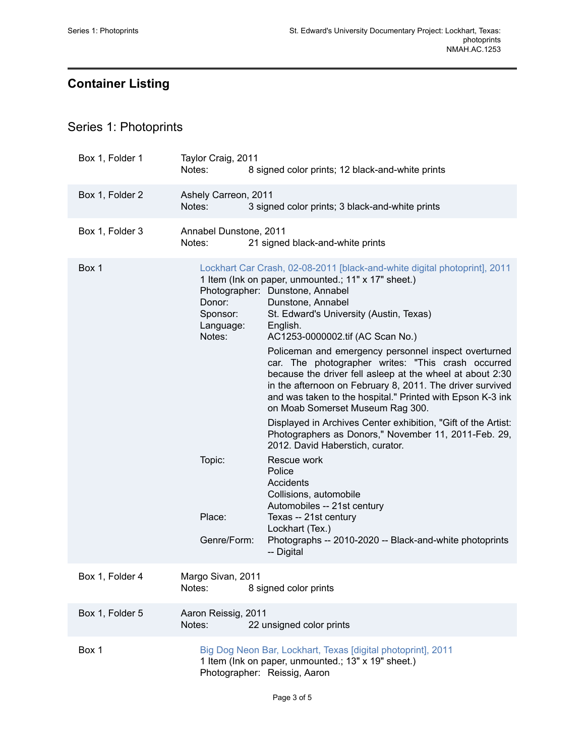# <span id="page-4-0"></span>**Container Listing**

# <span id="page-4-1"></span>Series 1: Photoprints

| Box 1, Folder 1 | Taylor Craig, 2011<br>Notes:                        | 8 signed color prints; 12 black-and-white prints                                                                                                                                                                                                                                                                                                                                                                                                                                                                                                                                                                                                                                                                                                                                                          |
|-----------------|-----------------------------------------------------|-----------------------------------------------------------------------------------------------------------------------------------------------------------------------------------------------------------------------------------------------------------------------------------------------------------------------------------------------------------------------------------------------------------------------------------------------------------------------------------------------------------------------------------------------------------------------------------------------------------------------------------------------------------------------------------------------------------------------------------------------------------------------------------------------------------|
| Box 1, Folder 2 | Ashely Carreon, 2011<br>Notes:                      | 3 signed color prints; 3 black-and-white prints                                                                                                                                                                                                                                                                                                                                                                                                                                                                                                                                                                                                                                                                                                                                                           |
| Box 1, Folder 3 | Annabel Dunstone, 2011<br>Notes:                    | 21 signed black-and-white prints                                                                                                                                                                                                                                                                                                                                                                                                                                                                                                                                                                                                                                                                                                                                                                          |
| Box 1           | Donor:<br>Sponsor:<br>Language:<br>Notes:<br>Topic: | Lockhart Car Crash, 02-08-2011 [black-and-white digital photoprint], 2011<br>1 Item (Ink on paper, unmounted.; 11" x 17" sheet.)<br>Photographer: Dunstone, Annabel<br>Dunstone, Annabel<br>St. Edward's University (Austin, Texas)<br>English.<br>AC1253-0000002.tif (AC Scan No.)<br>Policeman and emergency personnel inspect overturned<br>car. The photographer writes: "This crash occurred<br>because the driver fell asleep at the wheel at about 2:30<br>in the afternoon on February 8, 2011. The driver survived<br>and was taken to the hospital." Printed with Epson K-3 ink<br>on Moab Somerset Museum Rag 300.<br>Displayed in Archives Center exhibition, "Gift of the Artist:<br>Photographers as Donors," November 11, 2011-Feb. 29,<br>2012. David Haberstich, curator.<br>Rescue work |
|                 | Place:<br>Genre/Form:                               | Police<br>Accidents<br>Collisions, automobile<br>Automobiles -- 21st century<br>Texas -- 21st century<br>Lockhart (Tex.)<br>Photographs -- 2010-2020 -- Black-and-white photoprints<br>-- Digital                                                                                                                                                                                                                                                                                                                                                                                                                                                                                                                                                                                                         |
| Box 1, Folder 4 | Margo Sivan, 2011<br>Notes:                         | 8 signed color prints                                                                                                                                                                                                                                                                                                                                                                                                                                                                                                                                                                                                                                                                                                                                                                                     |
| Box 1, Folder 5 | Aaron Reissig, 2011<br>Notes:                       | 22 unsigned color prints                                                                                                                                                                                                                                                                                                                                                                                                                                                                                                                                                                                                                                                                                                                                                                                  |
| Box 1           |                                                     | Big Dog Neon Bar, Lockhart, Texas [digital photoprint], 2011<br>1 Item (Ink on paper, unmounted.; 13" x 19" sheet.)<br>Photographer: Reissig, Aaron                                                                                                                                                                                                                                                                                                                                                                                                                                                                                                                                                                                                                                                       |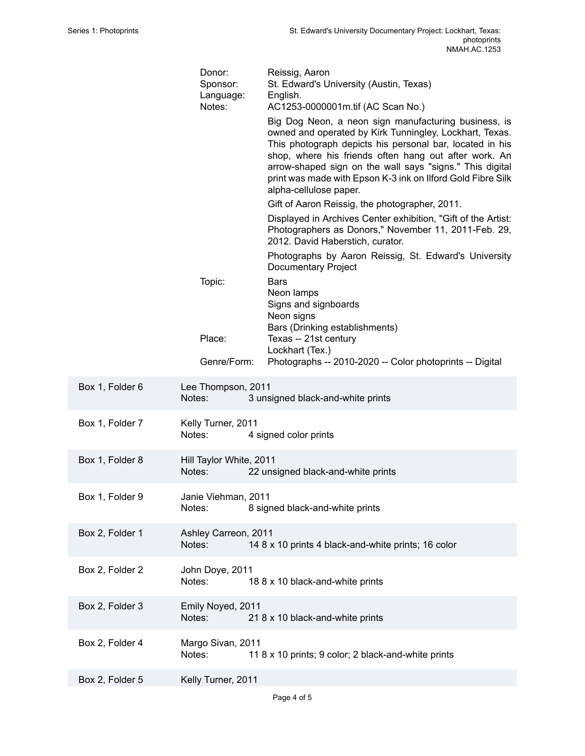|                 | Donor:<br>Sponsor:<br>Language:<br>Notes: | Reissig, Aaron<br>St. Edward's University (Austin, Texas)<br>English.<br>AC1253-0000001m.tif (AC Scan No.)                                                                                                                                                                                                                                                                                |
|-----------------|-------------------------------------------|-------------------------------------------------------------------------------------------------------------------------------------------------------------------------------------------------------------------------------------------------------------------------------------------------------------------------------------------------------------------------------------------|
|                 |                                           | Big Dog Neon, a neon sign manufacturing business, is<br>owned and operated by Kirk Tunningley, Lockhart, Texas.<br>This photograph depicts his personal bar, located in his<br>shop, where his friends often hang out after work. An<br>arrow-shaped sign on the wall says "signs." This digital<br>print was made with Epson K-3 ink on Ilford Gold Fibre Silk<br>alpha-cellulose paper. |
|                 |                                           | Gift of Aaron Reissig, the photographer, 2011.                                                                                                                                                                                                                                                                                                                                            |
|                 |                                           | Displayed in Archives Center exhibition, "Gift of the Artist:<br>Photographers as Donors," November 11, 2011-Feb. 29,<br>2012. David Haberstich, curator.                                                                                                                                                                                                                                 |
|                 |                                           | Photographs by Aaron Reissig, St. Edward's University<br>Documentary Project                                                                                                                                                                                                                                                                                                              |
|                 | Topic:                                    | <b>Bars</b><br>Neon lamps<br>Signs and signboards<br>Neon signs<br>Bars (Drinking establishments)                                                                                                                                                                                                                                                                                         |
|                 | Place:                                    | Texas -- 21st century                                                                                                                                                                                                                                                                                                                                                                     |
|                 | Genre/Form:                               | Lockhart (Tex.)<br>Photographs -- 2010-2020 -- Color photoprints -- Digital                                                                                                                                                                                                                                                                                                               |
| Box 1, Folder 6 | Lee Thompson, 2011<br>Notes:              | 3 unsigned black-and-white prints                                                                                                                                                                                                                                                                                                                                                         |
| Box 1, Folder 7 | Kelly Turner, 2011<br>Notes:              | 4 signed color prints                                                                                                                                                                                                                                                                                                                                                                     |
| Box 1, Folder 8 | Hill Taylor White, 2011<br>Notes:         | 22 unsigned black-and-white prints                                                                                                                                                                                                                                                                                                                                                        |
| Box 1, Folder 9 | Janie Viehman, 2011<br>Notes:             | 8 signed black-and-white prints                                                                                                                                                                                                                                                                                                                                                           |
| Box 2, Folder 1 | Ashley Carreon, 2011<br>Notes:            | 14 8 x 10 prints 4 black-and-white prints; 16 color                                                                                                                                                                                                                                                                                                                                       |
| Box 2, Folder 2 | John Doye, 2011<br>Notes:                 | 18 8 x 10 black-and-white prints                                                                                                                                                                                                                                                                                                                                                          |
| Box 2, Folder 3 | Emily Noyed, 2011<br>Notes:               | 21 8 x 10 black-and-white prints                                                                                                                                                                                                                                                                                                                                                          |
| Box 2, Folder 4 | Margo Sivan, 2011<br>Notes:               | 11 8 x 10 prints; 9 color; 2 black-and-white prints                                                                                                                                                                                                                                                                                                                                       |
| Box 2, Folder 5 | Kelly Turner, 2011                        |                                                                                                                                                                                                                                                                                                                                                                                           |